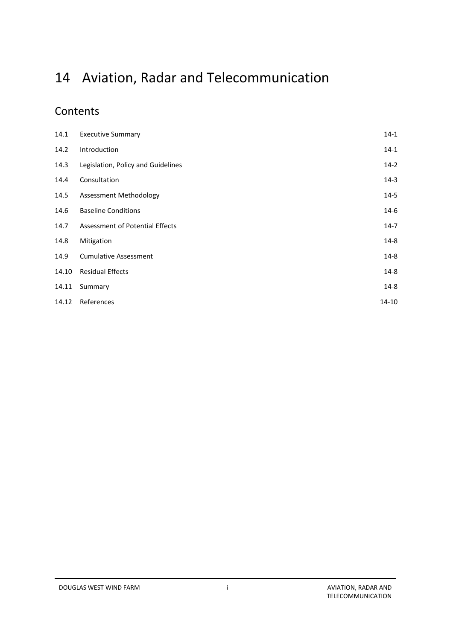# 14 Aviation, Radar and Telecommunication

# **Contents**

| 14.1  | <b>Executive Summary</b>               | $14-1$    |
|-------|----------------------------------------|-----------|
| 14.2  | Introduction                           | $14-1$    |
| 14.3  | Legislation, Policy and Guidelines     | $14-2$    |
| 14.4  | Consultation                           | $14-3$    |
| 14.5  | Assessment Methodology                 | $14 - 5$  |
| 14.6  | <b>Baseline Conditions</b>             | $14-6$    |
| 14.7  | <b>Assessment of Potential Effects</b> | $14 - 7$  |
| 14.8  | Mitigation                             | $14 - 8$  |
| 14.9  | <b>Cumulative Assessment</b>           | $14-8$    |
| 14.10 | <b>Residual Effects</b>                | $14 - 8$  |
| 14.11 | Summary                                | $14-8$    |
| 14.12 | References                             | $14 - 10$ |
|       |                                        |           |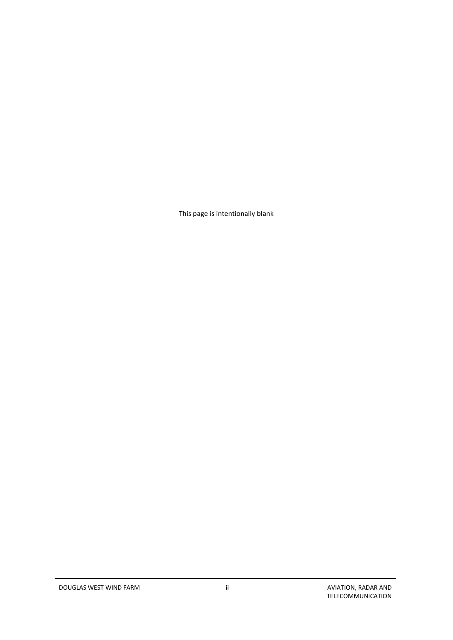This page is intentionally blank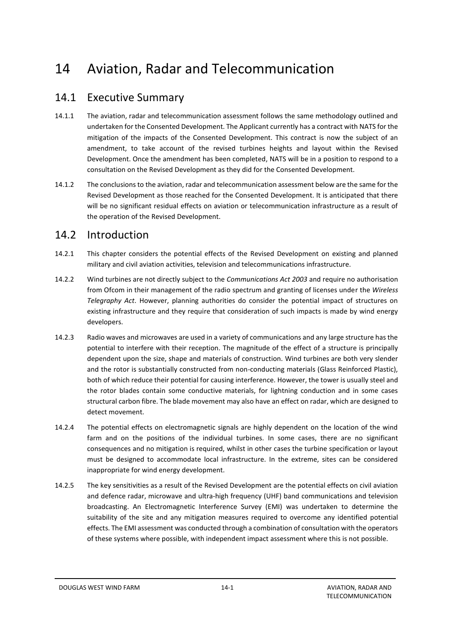# 14 Aviation, Radar and Telecommunication

### <span id="page-2-0"></span>14.1 Executive Summary

- 14.1.1 The aviation, radar and telecommunication assessment follows the same methodology outlined and undertaken for the Consented Development. The Applicant currently has a contract with NATS for the mitigation of the impacts of the Consented Development. This contract is now the subject of an amendment, to take account of the revised turbines heights and layout within the Revised Development. Once the amendment has been completed, NATS will be in a position to respond to a consultation on the Revised Development as they did for the Consented Development.
- 14.1.2 The conclusions to the aviation, radar and telecommunication assessment below are the same for the Revised Development as those reached for the Consented Development. It is anticipated that there will be no significant residual effects on aviation or telecommunication infrastructure as a result of the operation of the Revised Development.

### <span id="page-2-1"></span>14.2 Introduction

- 14.2.1 This chapter considers the potential effects of the Revised Development on existing and planned military and civil aviation activities, television and telecommunications infrastructure.
- 14.2.2 Wind turbines are not directly subject to the *Communications Act 2003* and require no authorisation from Ofcom in their management of the radio spectrum and granting of licenses under the *Wireless Telegraphy Act*. However, planning authorities do consider the potential impact of structures on existing infrastructure and they require that consideration of such impacts is made by wind energy developers.
- 14.2.3 Radio waves and microwaves are used in a variety of communications and any large structure has the potential to interfere with their reception. The magnitude of the effect of a structure is principally dependent upon the size, shape and materials of construction. Wind turbines are both very slender and the rotor is substantially constructed from non-conducting materials (Glass Reinforced Plastic), both of which reduce their potential for causing interference. However, the tower is usually steel and the rotor blades contain some conductive materials, for lightning conduction and in some cases structural carbon fibre. The blade movement may also have an effect on radar, which are designed to detect movement.
- 14.2.4 The potential effects on electromagnetic signals are highly dependent on the location of the wind farm and on the positions of the individual turbines. In some cases, there are no significant consequences and no mitigation is required, whilst in other cases the turbine specification or layout must be designed to accommodate local infrastructure. In the extreme, sites can be considered inappropriate for wind energy development.
- 14.2.5 The key sensitivities as a result of the Revised Development are the potential effects on civil aviation and defence radar, microwave and ultra-high frequency (UHF) band communications and television broadcasting. An Electromagnetic Interference Survey (EMI) was undertaken to determine the suitability of the site and any mitigation measures required to overcome any identified potential effects. The EMI assessment was conducted through a combination of consultation with the operators of these systems where possible, with independent impact assessment where this is not possible.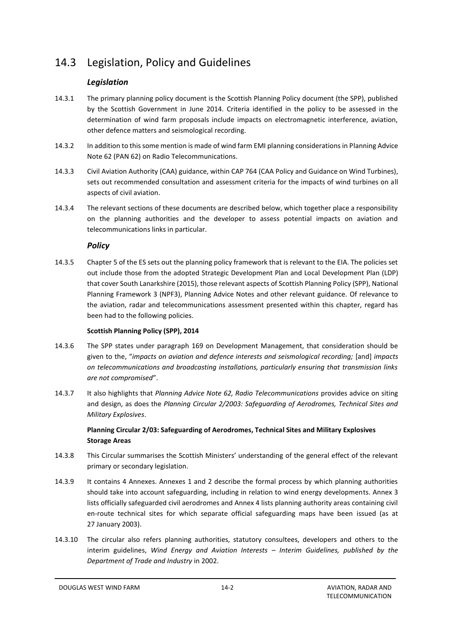# <span id="page-3-0"></span>14.3 Legislation, Policy and Guidelines

### *Legislation*

- 14.3.1 The primary planning policy document is the Scottish Planning Policy document (the SPP), published by the Scottish Government in June 2014. Criteria identified in the policy to be assessed in the determination of wind farm proposals include impacts on electromagnetic interference, aviation, other defence matters and seismological recording.
- 14.3.2 In addition to this some mention is made of wind farm EMI planning considerations in Planning Advice Note 62 (PAN 62) on Radio Telecommunications.
- 14.3.3 Civil Aviation Authority (CAA) guidance, within CAP 764 (CAA Policy and Guidance on Wind Turbines), sets out recommended consultation and assessment criteria for the impacts of wind turbines on all aspects of civil aviation.
- 14.3.4 The relevant sections of these documents are described below, which together place a responsibility on the planning authorities and the developer to assess potential impacts on aviation and telecommunications links in particular.

### *Policy*

14.3.5 Chapter 5 of the ES sets out the planning policy framework that is relevant to the EIA. The policies set out include those from the adopted Strategic Development Plan and Local Development Plan (LDP) that cover South Lanarkshire (2015), those relevant aspects of Scottish Planning Policy (SPP), National Planning Framework 3 (NPF3), Planning Advice Notes and other relevant guidance. Of relevance to the aviation, radar and telecommunications assessment presented within this chapter, regard has been had to the following policies.

### **Scottish Planning Policy (SPP), 2014**

- 14.3.6 The SPP states under paragraph 169 on Development Management, that consideration should be given to the, "*impacts on aviation and defence interests and seismological recording;* [and] *impacts on telecommunications and broadcasting installations, particularly ensuring that transmission links are not compromised*".
- 14.3.7 It also highlights that *Planning Advice Note 62, Radio Telecommunications* provides advice on siting and design, as does the *Planning Circular 2/2003: Safeguarding of Aerodromes, Technical Sites and Military Explosives*.

### **Planning Circular 2/03: Safeguarding of Aerodromes, Technical Sites and Military Explosives Storage Areas**

- 14.3.8 This Circular summarises the Scottish Ministers' understanding of the general effect of the relevant primary or secondary legislation.
- 14.3.9 It contains 4 Annexes. Annexes 1 and 2 describe the formal process by which planning authorities should take into account safeguarding, including in relation to wind energy developments. Annex 3 lists officially safeguarded civil aerodromes and Annex 4 lists planning authority areas containing civil en-route technical sites for which separate official safeguarding maps have been issued (as at 27 January 2003).
- 14.3.10 The circular also refers planning authorities, statutory consultees, developers and others to the interim guidelines, *Wind Energy and Aviation Interests – Interim Guidelines, published by the Department of Trade and Industry* in 2002.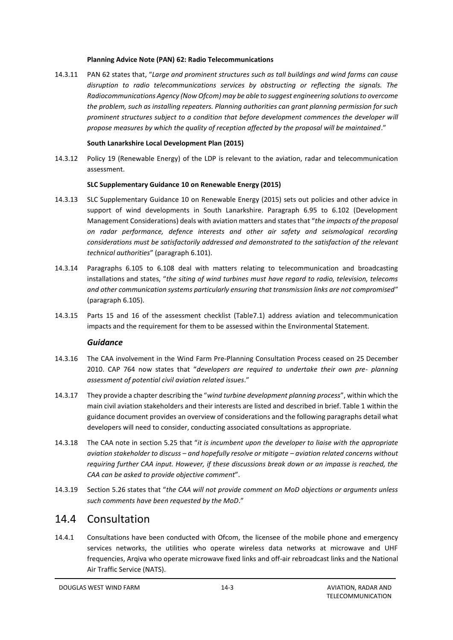#### **Planning Advice Note (PAN) 62: Radio Telecommunications**

14.3.11 PAN 62 states that, "*Large and prominent structures such as tall buildings and wind farms can cause disruption to radio telecommunications services by obstructing or reflecting the signals. The Radiocommunications Agency (Now Ofcom) may be able to suggest engineering solutions to overcome the problem, such as installing repeaters. Planning authorities can grant planning permission for such prominent structures subject to a condition that before development commences the developer will propose measures by which the quality of reception affected by the proposal will be maintained*."

### **South Lanarkshire Local Development Plan (2015)**

14.3.12 Policy 19 (Renewable Energy) of the LDP is relevant to the aviation, radar and telecommunication assessment.

### **SLC Supplementary Guidance 10 on Renewable Energy (2015)**

- 14.3.13 SLC Supplementary Guidance 10 on Renewable Energy (2015) sets out policies and other advice in support of wind developments in South Lanarkshire. Paragraph 6.95 to 6.102 (Development Management Considerations) deals with aviation matters and states that "*the impacts of the proposal on radar performance, defence interests and other air safety and seismological recording considerations must be satisfactorily addressed and demonstrated to the satisfaction of the relevant technical authorities*" (paragraph 6.101).
- 14.3.14 Paragraphs 6.105 to 6.108 deal with matters relating to telecommunication and broadcasting installations and states, "*the siting of wind turbines must have regard to radio, television, telecoms and other communication systems particularly ensuring that transmission links are not compromised*" (paragraph 6.105).
- 14.3.15 Parts 15 and 16 of the assessment checklist (Table7.1) address aviation and telecommunication impacts and the requirement for them to be assessed within the Environmental Statement.

### *Guidance*

- 14.3.16 The CAA involvement in the Wind Farm Pre-Planning Consultation Process ceased on 25 December 2010. CAP 764 now states that "*developers are required to undertake their own pre- planning assessment of potential civil aviation related issues*."
- 14.3.17 They provide a chapter describing the "*wind turbine development planning process*", within which the main civil aviation stakeholders and their interests are listed and described in brief. Table 1 within the guidance document provides an overview of considerations and the following paragraphs detail what developers will need to consider, conducting associated consultations as appropriate.
- 14.3.18 The CAA note in section 5.25 that "*it is incumbent upon the developer to liaise with the appropriate aviation stakeholder to discuss – and hopefully resolve or mitigate – aviation related concerns without requiring further CAA input. However, if these discussions break down or an impasse is reached, the CAA can be asked to provide objective comment*".
- 14.3.19 Section 5.26 states that "*the CAA will not provide comment on MoD objections or arguments unless such comments have been requested by the MoD*."

### <span id="page-4-0"></span>14.4 Consultation

14.4.1 Consultations have been conducted with Ofcom, the licensee of the mobile phone and emergency services networks, the utilities who operate wireless data networks at microwave and UHF frequencies, Arqiva who operate microwave fixed links and off-air rebroadcast links and the National Air Traffic Service (NATS).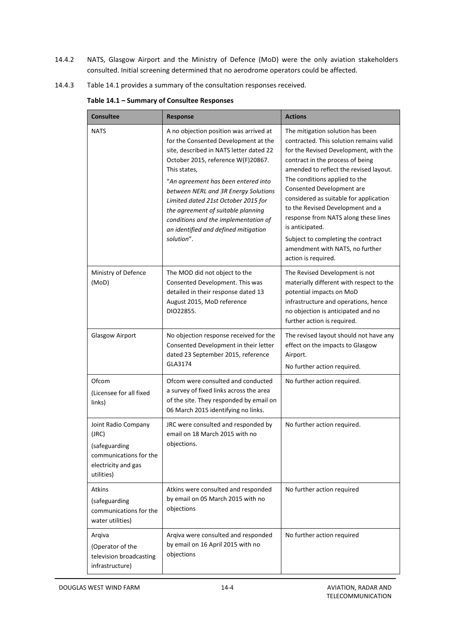- 14.4.2 NATS, Glasgow Airport and the Ministry of Defence (MoD) were the only aviation stakeholders consulted. Initial screening determined that no aerodrome operators could be affected.
- <span id="page-5-0"></span>14.4.3 Table 14.1 provides a summary of the consultation responses received.

**Table 14.1 – Summary of Consultee Responses**

| <b>Consultee</b>                                                                                             | <b>Response</b>                                                                                                                                                                                                                                                                                                                                                                                                                           | <b>Actions</b>                                                                                                                                                                                                                                                                                                                                                                                                                                                                                            |  |  |
|--------------------------------------------------------------------------------------------------------------|-------------------------------------------------------------------------------------------------------------------------------------------------------------------------------------------------------------------------------------------------------------------------------------------------------------------------------------------------------------------------------------------------------------------------------------------|-----------------------------------------------------------------------------------------------------------------------------------------------------------------------------------------------------------------------------------------------------------------------------------------------------------------------------------------------------------------------------------------------------------------------------------------------------------------------------------------------------------|--|--|
| <b>NATS</b>                                                                                                  | A no objection position was arrived at<br>for the Consented Development at the<br>site, described in NATS letter dated 22<br>October 2015, reference W(F)20867.<br>This states,<br>"An agreement has been entered into<br>between NERL and 3R Energy Solutions<br>Limited dated 21st October 2015 for<br>the agreement of suitable planning<br>conditions and the implementation of<br>an identified and defined mitigation<br>solution". | The mitigation solution has been<br>contracted. This solution remains valid<br>for the Revised Development, with the<br>contract in the process of being<br>amended to reflect the revised layout.<br>The conditions applied to the<br>Consented Development are<br>considered as suitable for application<br>to the Revised Development and a<br>response from NATS along these lines<br>is anticipated.<br>Subject to completing the contract<br>amendment with NATS, no further<br>action is required. |  |  |
| Ministry of Defence<br>(MoD)                                                                                 | The MOD did not object to the<br>Consented Development. This was<br>detailed in their response dated 13<br>August 2015, MoD reference<br>DIO22855.                                                                                                                                                                                                                                                                                        | The Revised Development is not<br>materially different with respect to the<br>potential impacts on MoD<br>infrastructure and operations, hence<br>no objection is anticipated and no<br>further action is required.                                                                                                                                                                                                                                                                                       |  |  |
| <b>Glasgow Airport</b>                                                                                       | No objection response received for the<br>Consented Development in their letter<br>dated 23 September 2015, reference<br>GLA3174                                                                                                                                                                                                                                                                                                          | The revised layout should not have any<br>effect on the impacts to Glasgow<br>Airport.<br>No further action required.                                                                                                                                                                                                                                                                                                                                                                                     |  |  |
| Ofcom<br>(Licensee for all fixed<br>links)                                                                   | Ofcom were consulted and conducted<br>a survey of fixed links across the area<br>of the site. They responded by email on<br>06 March 2015 identifying no links.                                                                                                                                                                                                                                                                           | No further action required.                                                                                                                                                                                                                                                                                                                                                                                                                                                                               |  |  |
| Joint Radio Company<br>(JRC)<br>(safeguarding<br>communications for the<br>electricity and gas<br>utilities) | JRC were consulted and responded by<br>email on 18 March 2015 with no<br>objections.                                                                                                                                                                                                                                                                                                                                                      | No further action required.                                                                                                                                                                                                                                                                                                                                                                                                                                                                               |  |  |
| Atkins<br>(safeguarding<br>communications for the<br>water utilities)                                        | Atkins were consulted and responded<br>by email on 05 March 2015 with no<br>objections                                                                                                                                                                                                                                                                                                                                                    | No further action required                                                                                                                                                                                                                                                                                                                                                                                                                                                                                |  |  |
| Arqiva<br>(Operator of the<br>television broadcasting<br>infrastructure)                                     | Arqiva were consulted and responded<br>by email on 16 April 2015 with no<br>objections                                                                                                                                                                                                                                                                                                                                                    | No further action required                                                                                                                                                                                                                                                                                                                                                                                                                                                                                |  |  |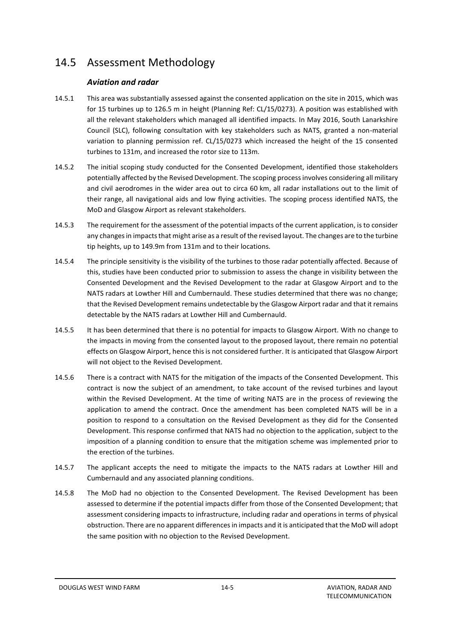# <span id="page-6-0"></span>14.5 Assessment Methodology

### *Aviation and radar*

- 14.5.1 This area was substantially assessed against the consented application on the site in 2015, which was for 15 turbines up to 126.5 m in height (Planning Ref: CL/15/0273). A position was established with all the relevant stakeholders which managed all identified impacts. In May 2016, South Lanarkshire Council (SLC), following consultation with key stakeholders such as NATS, granted a non-material variation to planning permission ref. CL/15/0273 which increased the height of the 15 consented turbines to 131m, and increased the rotor size to 113m.
- 14.5.2 The initial scoping study conducted for the Consented Development, identified those stakeholders potentially affected by the Revised Development. The scoping process involves considering all military and civil aerodromes in the wider area out to circa 60 km, all radar installations out to the limit of their range, all navigational aids and low flying activities. The scoping process identified NATS, the MoD and Glasgow Airport as relevant stakeholders.
- 14.5.3 The requirement for the assessment of the potential impacts of the current application, is to consider any changes in impacts that might arise as a result of the revised layout. The changes are to the turbine tip heights, up to 149.9m from 131m and to their locations.
- 14.5.4 The principle sensitivity is the visibility of the turbines to those radar potentially affected. Because of this, studies have been conducted prior to submission to assess the change in visibility between the Consented Development and the Revised Development to the radar at Glasgow Airport and to the NATS radars at Lowther Hill and Cumbernauld. These studies determined that there was no change; that the Revised Development remains undetectable by the Glasgow Airport radar and that it remains detectable by the NATS radars at Lowther Hill and Cumbernauld.
- 14.5.5 It has been determined that there is no potential for impacts to Glasgow Airport. With no change to the impacts in moving from the consented layout to the proposed layout, there remain no potential effects on Glasgow Airport, hence this is not considered further. It is anticipated that Glasgow Airport will not object to the Revised Development.
- 14.5.6 There is a contract with NATS for the mitigation of the impacts of the Consented Development. This contract is now the subject of an amendment, to take account of the revised turbines and layout within the Revised Development. At the time of writing NATS are in the process of reviewing the application to amend the contract. Once the amendment has been completed NATS will be in a position to respond to a consultation on the Revised Development as they did for the Consented Development. This response confirmed that NATS had no objection to the application, subject to the imposition of a planning condition to ensure that the mitigation scheme was implemented prior to the erection of the turbines.
- 14.5.7 The applicant accepts the need to mitigate the impacts to the NATS radars at Lowther Hill and Cumbernauld and any associated planning conditions.
- 14.5.8 The MoD had no objection to the Consented Development. The Revised Development has been assessed to determine if the potential impacts differ from those of the Consented Development; that assessment considering impacts to infrastructure, including radar and operations in terms of physical obstruction. There are no apparent differences in impacts and it is anticipated that the MoD will adopt the same position with no objection to the Revised Development.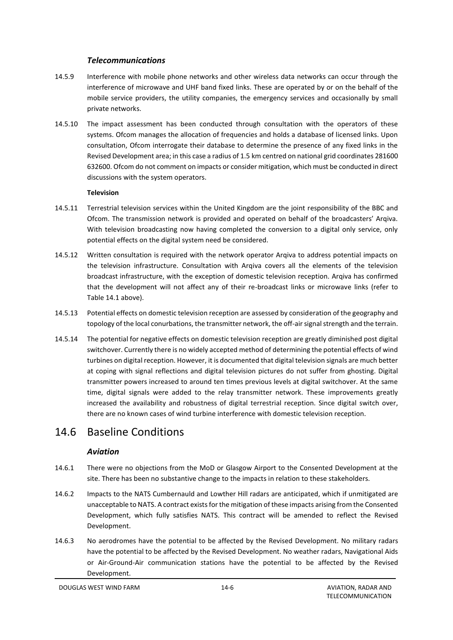### *Telecommunications*

- 14.5.9 Interference with mobile phone networks and other wireless data networks can occur through the interference of microwave and UHF band fixed links. These are operated by or on the behalf of the mobile service providers, the utility companies, the emergency services and occasionally by small private networks.
- 14.5.10 The impact assessment has been conducted through consultation with the operators of these systems. Ofcom manages the allocation of frequencies and holds a database of licensed links. Upon consultation, Ofcom interrogate their database to determine the presence of any fixed links in the Revised Development area; in this case a radius of 1.5 km centred on national grid coordinates 281600 632600. Ofcom do not comment on impacts or consider mitigation, which must be conducted in direct discussions with the system operators.

### **Television**

- 14.5.11 Terrestrial television services within the United Kingdom are the joint responsibility of the BBC and Ofcom. The transmission network is provided and operated on behalf of the broadcasters' Arqiva. With television broadcasting now having completed the conversion to a digital only service, only potential effects on the digital system need be considered.
- 14.5.12 Written consultation is required with the network operator Arqiva to address potential impacts on the television infrastructure. Consultation with Arqiva covers all the elements of the television broadcast infrastructure, with the exception of domestic television reception. Arqiva has confirmed that the development will not affect any of their re-broadcast links or microwave links (refer to Table 14.1 above).
- 14.5.13 Potential effects on domestic television reception are assessed by consideration of the geography and topology of the local conurbations, the transmitter network, the off-air signal strength and the terrain.
- 14.5.14 The potential for negative effects on domestic television reception are greatly diminished post digital switchover. Currently there is no widely accepted method of determining the potential effects of wind turbines on digital reception. However, it is documented that digital television signals are much better at coping with signal reflections and digital television pictures do not suffer from ghosting. Digital transmitter powers increased to around ten times previous levels at digital switchover. At the same time, digital signals were added to the relay transmitter network. These improvements greatly increased the availability and robustness of digital terrestrial reception. Since digital switch over, there are no known cases of wind turbine interference with domestic television reception.

# <span id="page-7-0"></span>14.6 Baseline Conditions

### *Aviation*

- 14.6.1 There were no objections from the MoD or Glasgow Airport to the Consented Development at the site. There has been no substantive change to the impacts in relation to these stakeholders.
- 14.6.2 Impacts to the NATS Cumbernauld and Lowther Hill radars are anticipated, which if unmitigated are unacceptable to NATS. A contract exists for the mitigation of these impacts arising from the Consented Development, which fully satisfies NATS. This contract will be amended to reflect the Revised Development.
- 14.6.3 No aerodromes have the potential to be affected by the Revised Development. No military radars have the potential to be affected by the Revised Development. No weather radars, Navigational Aids or Air-Ground-Air communication stations have the potential to be affected by the Revised Development.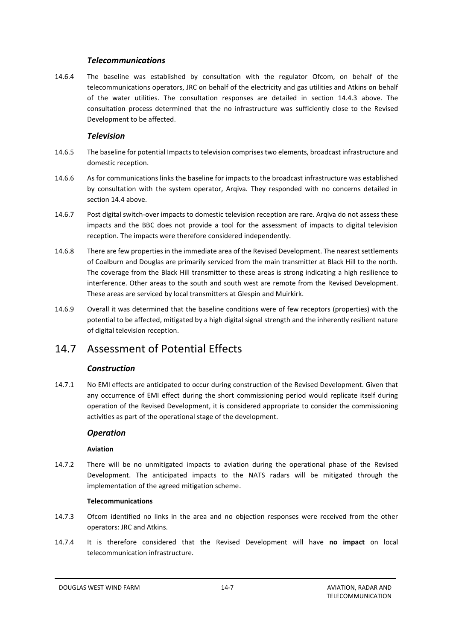### *Telecommunications*

14.6.4 The baseline was established by consultation with the regulator Ofcom, on behalf of the telecommunications operators, JRC on behalf of the electricity and gas utilities and Atkins on behalf of the water utilities. The consultation responses are detailed in section [14.4.3](#page-5-0) above. The consultation process determined that the no infrastructure was sufficiently close to the Revised Development to be affected.

### *Television*

- 14.6.5 The baseline for potential Impacts to television comprisestwo elements, broadcast infrastructure and domestic reception.
- 14.6.6 As for communications links the baseline for impacts to the broadcast infrastructure was established by consultation with the system operator, Arqiva. They responded with no concerns detailed in section 14.4 above.
- 14.6.7 Post digital switch-over impacts to domestic television reception are rare. Arqiva do not assess these impacts and the BBC does not provide a tool for the assessment of impacts to digital television reception. The impacts were therefore considered independently.
- 14.6.8 There are few properties in the immediate area of the Revised Development. The nearest settlements of Coalburn and Douglas are primarily serviced from the main transmitter at Black Hill to the north. The coverage from the Black Hill transmitter to these areas is strong indicating a high resilience to interference. Other areas to the south and south west are remote from the Revised Development. These areas are serviced by local transmitters at Glespin and Muirkirk.
- 14.6.9 Overall it was determined that the baseline conditions were of few receptors (properties) with the potential to be affected, mitigated by a high digital signal strength and the inherently resilient nature of digital television reception.

## <span id="page-8-0"></span>14.7 Assessment of Potential Effects

### *Construction*

14.7.1 No EMI effects are anticipated to occur during construction of the Revised Development. Given that any occurrence of EMI effect during the short commissioning period would replicate itself during operation of the Revised Development, it is considered appropriate to consider the commissioning activities as part of the operational stage of the development.

#### *Operation*

#### **Aviation**

14.7.2 There will be no unmitigated impacts to aviation during the operational phase of the Revised Development. The anticipated impacts to the NATS radars will be mitigated through the implementation of the agreed mitigation scheme.

#### **Telecommunications**

- 14.7.3 Ofcom identified no links in the area and no objection responses were received from the other operators: JRC and Atkins.
- 14.7.4 It is therefore considered that the Revised Development will have **no impact** on local telecommunication infrastructure.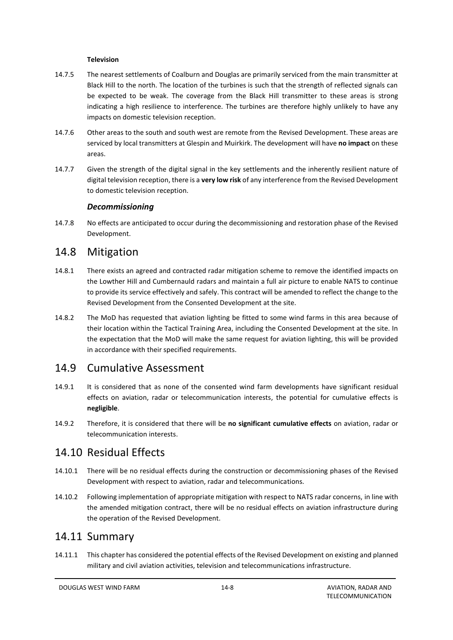### **Television**

- 14.7.5 The nearest settlements of Coalburn and Douglas are primarily serviced from the main transmitter at Black Hill to the north. The location of the turbines is such that the strength of reflected signals can be expected to be weak. The coverage from the Black Hill transmitter to these areas is strong indicating a high resilience to interference. The turbines are therefore highly unlikely to have any impacts on domestic television reception.
- 14.7.6 Other areas to the south and south west are remote from the Revised Development. These areas are serviced by local transmitters at Glespin and Muirkirk. The development will have **no impact** on these areas.
- 14.7.7 Given the strength of the digital signal in the key settlements and the inherently resilient nature of digital television reception, there is a **very low risk** of any interference from the Revised Development to domestic television reception.

### *Decommissioning*

14.7.8 No effects are anticipated to occur during the decommissioning and restoration phase of the Revised Development.

# <span id="page-9-0"></span>14.8 Mitigation

- 14.8.1 There exists an agreed and contracted radar mitigation scheme to remove the identified impacts on the Lowther Hill and Cumbernauld radars and maintain a full air picture to enable NATS to continue to provide its service effectively and safely. This contract will be amended to reflect the change to the Revised Development from the Consented Development at the site.
- 14.8.2 The MoD has requested that aviation lighting be fitted to some wind farms in this area because of their location within the Tactical Training Area, including the Consented Development at the site. In the expectation that the MoD will make the same request for aviation lighting, this will be provided in accordance with their specified requirements.

## <span id="page-9-1"></span>14.9 Cumulative Assessment

- 14.9.1 It is considered that as none of the consented wind farm developments have significant residual effects on aviation, radar or telecommunication interests, the potential for cumulative effects is **negligible**.
- 14.9.2 Therefore, it is considered that there will be **no significant cumulative effects** on aviation, radar or telecommunication interests.

# <span id="page-9-2"></span>14.10 Residual Effects

- 14.10.1 There will be no residual effects during the construction or decommissioning phases of the Revised Development with respect to aviation, radar and telecommunications.
- 14.10.2 Following implementation of appropriate mitigation with respect to NATS radar concerns, in line with the amended mitigation contract, there will be no residual effects on aviation infrastructure during the operation of the Revised Development.

### <span id="page-9-3"></span>14.11 Summary

14.11.1 This chapter has considered the potential effects of the Revised Development on existing and planned military and civil aviation activities, television and telecommunications infrastructure.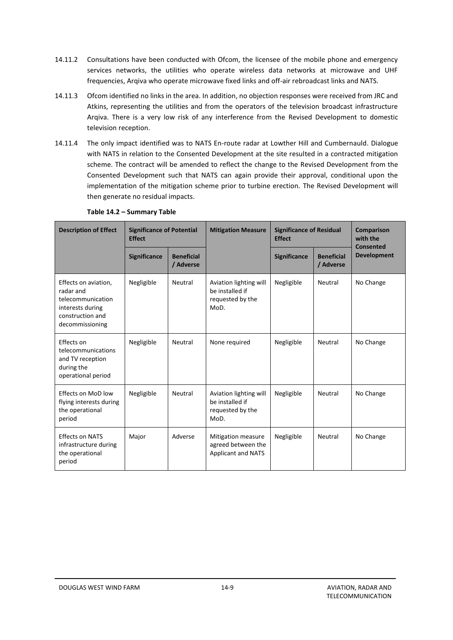- 14.11.2 Consultations have been conducted with Ofcom, the licensee of the mobile phone and emergency services networks, the utilities who operate wireless data networks at microwave and UHF frequencies, Arqiva who operate microwave fixed links and off-air rebroadcast links and NATS.
- 14.11.3 Ofcom identified no links in the area. In addition, no objection responses were received from JRC and Atkins, representing the utilities and from the operators of the television broadcast infrastructure Arqiva. There is a very low risk of any interference from the Revised Development to domestic television reception.
- 14.11.4 The only impact identified was to NATS En-route radar at Lowther Hill and Cumbernauld. Dialogue with NATS in relation to the Consented Development at the site resulted in a contracted mitigation scheme. The contract will be amended to reflect the change to the Revised Development from the Consented Development such that NATS can again provide their approval, conditional upon the implementation of the mitigation scheme prior to turbine erection. The Revised Development will then generate no residual impacts.

| <b>Description of Effect</b>                                                                                      | <b>Significance of Potential</b><br><b>Effect</b> |                                | <b>Mitigation Measure</b>                                             | <b>Significance of Residual</b><br><b>Effect</b> |                                | Comparison<br>with the<br><b>Consented</b> |
|-------------------------------------------------------------------------------------------------------------------|---------------------------------------------------|--------------------------------|-----------------------------------------------------------------------|--------------------------------------------------|--------------------------------|--------------------------------------------|
|                                                                                                                   | <b>Significance</b>                               | <b>Beneficial</b><br>/ Adverse |                                                                       | Significance                                     | <b>Beneficial</b><br>/ Adverse | <b>Development</b>                         |
| Effects on aviation,<br>radar and<br>telecommunication<br>interests during<br>construction and<br>decommissioning | Negligible                                        | Neutral                        | Aviation lighting will<br>be installed if<br>requested by the<br>MoD. | Negligible                                       | Neutral                        | No Change                                  |
| Effects on<br>telecommunications<br>and TV reception<br>during the<br>operational period                          | Negligible                                        | Neutral                        | None required                                                         | Negligible                                       | Neutral                        | No Change                                  |
| Effects on MoD low<br>flying interests during<br>the operational<br>period                                        | Negligible                                        | Neutral                        | Aviation lighting will<br>be installed if<br>requested by the<br>MoD. | Negligible                                       | Neutral                        | No Change                                  |
| <b>Effects on NATS</b><br>infrastructure during<br>the operational<br>period                                      | Major                                             | Adverse                        | Mitigation measure<br>agreed between the<br><b>Applicant and NATS</b> | Negligible                                       | Neutral                        | No Change                                  |

#### **Table 14.2 – Summary Table**